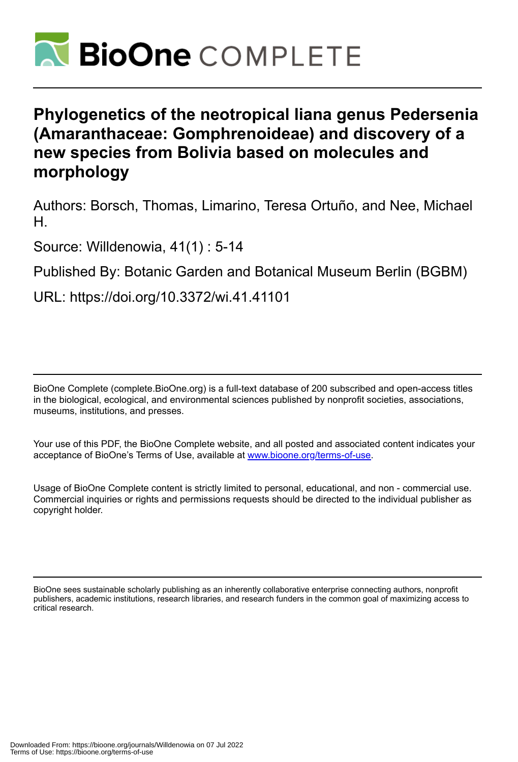

# **Phylogenetics of the neotropical liana genus Pedersenia (Amaranthaceae: Gomphrenoideae) and discovery of a new species from Bolivia based on molecules and morphology**

Authors: Borsch, Thomas, Limarino, Teresa Ortuño, and Nee, Michael H.

Source: Willdenowia, 41(1) : 5-14

Published By: Botanic Garden and Botanical Museum Berlin (BGBM)

URL: https://doi.org/10.3372/wi.41.41101

BioOne Complete (complete.BioOne.org) is a full-text database of 200 subscribed and open-access titles in the biological, ecological, and environmental sciences published by nonprofit societies, associations, museums, institutions, and presses.

Your use of this PDF, the BioOne Complete website, and all posted and associated content indicates your acceptance of BioOne's Terms of Use, available at www.bioone.org/terms-of-use.

Usage of BioOne Complete content is strictly limited to personal, educational, and non - commercial use. Commercial inquiries or rights and permissions requests should be directed to the individual publisher as copyright holder.

BioOne sees sustainable scholarly publishing as an inherently collaborative enterprise connecting authors, nonprofit publishers, academic institutions, research libraries, and research funders in the common goal of maximizing access to critical research.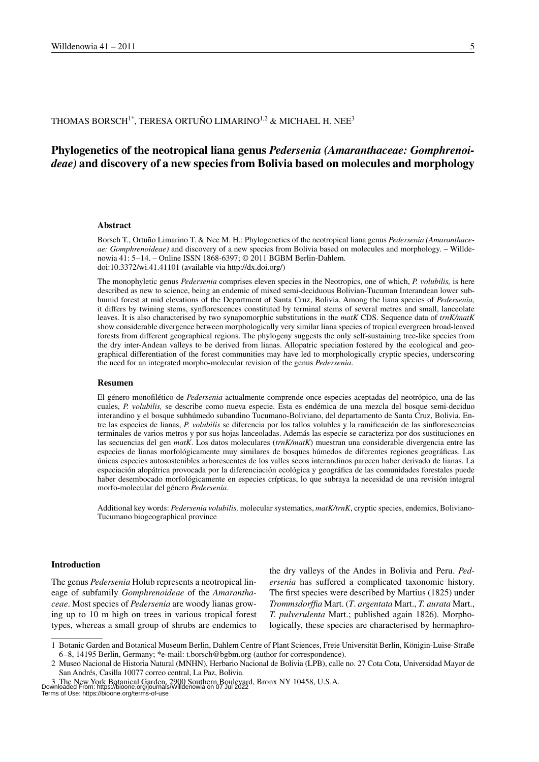# THOMAS BORSCH<sup>1\*</sup>, TERESA ORTUÑO LIMARINO<sup>1,2</sup> & MICHAEL H. NEE<sup>3</sup>

# **Phylogenetics of the neotropical liana genus** *Pedersenia (Amaranthaceae: Gomphrenoideae)* **and discovery of a new species from Bolivia based on molecules and morphology**

#### **Abstract**

Borsch T., Ortuño Limarino T. & Nee M. H.: Phylogenetics of the neotropical liana genus *Pedersenia (Amaranthaceae: Gomphrenoideae)* and discovery of a new species from Bolivia based on molecules and morphology. – Willdenowia 41: 5–14. – Online ISSN 1868-6397; © 2011 BGBM Berlin-Dahlem. doi:10.3372/wi.41.41101 (available via http://dx.doi.org/)

The monophyletic genus *Pedersenia* comprises eleven species in the Neotropics, one of which, *P. volubilis,* is here described as new to science, being an endemic of mixed semi-deciduous Bolivian-Tucuman Interandean lower subhumid forest at mid elevations of the Department of Santa Cruz, Bolivia. Among the liana species of *Pedersenia,* it differs by twining stems, synflorescences constituted by terminal stems of several metres and small, lanceolate leaves. It is also characterised by two synapomorphic substitutions in the *matK* CDS. Sequence data of *trnK/matK* show considerable divergence between morphologically very similar liana species of tropical evergreen broad-leaved forests from different geographical regions. The phylogeny suggests the only self-sustaining tree-like species from the dry inter-Andean valleys to be derived from lianas. Allopatric speciation fostered by the ecological and geographical differentiation of the forest communities may have led to morphologically cryptic species, underscoring the need for an integrated morpho-molecular revision of the genus *Pedersenia*.

#### **Resumen**

El género monofilético de *Pedersenia* actualmente comprende once especies aceptadas del neotrópico, una de las cuales, *P. volubilis,* se describe como nueva especie. Esta es endémica de una mezcla del bosque semi-deciduo interandino y el bosque subhúmedo subandino Tucumano-Boliviano, del departamento de Santa Cruz, Bolivia. Entre las especies de lianas, *P. volubilis* se diferencia por los tallos volubles y la ramificación de las sinflorescencias terminales de varios metros y por sus hojas lanceoladas. Además las especie se caracteriza por dos sustituciones en las secuencias del gen *matK*. Los datos moleculares (*trnK/matK*) muestran una considerable divergencia entre las especies de lianas morfológicamente muy similares de bosques húmedos de diferentes regiones geográficas. Las únicas especies autosostenibles arborescentes de los valles secos interandinos parecen haber derivado de lianas. La especiación alopátrica provocada por la diferenciación ecológica y geográfica de las comunidades forestales puede haber desembocado morfológicamente en especies crípticas, lo que subraya la necesidad de una revisión integral morfo-molecular del género *Pedersenia*.

Additional key words: *Pedersenia volubilis,* molecular systematics, *matK/trnK*, cryptic species, endemics, Boliviano-Tucumano biogeographical province

#### **Introduction**

The genus *Pedersenia* Holub represents a neotropical lineage of subfamily *Gomphrenoideae* of the *Amaranthaceae*. Most species of *Pedersenia* are woody lianas growing up to 10 m high on trees in various tropical forest types, whereas a small group of shrubs are endemics to the dry valleys of the Andes in Bolivia and Peru. *Pedersenia* has suffered a complicated taxonomic history. The first species were described by Martius (1825) under *Trommsdorffia* Mart. (*T*. *argentata* Mart., *T. aurata* Mart., *T. pulverulenta* Mart.; published again 1826). Morphologically, these species are characterised by hermaphro-

<sup>1</sup> Botanic Garden and Botanical Museum Berlin, Dahlem Centre of Plant Sciences, Freie Universität Berlin, Königin-Luise-Straße 6–8, 14195 Berlin, Germany; \*e-mail: t.borsch@bgbm.org (author for correspondence).

<sup>2</sup> Museo Nacional de Historia Natural (MNHN), Herbario Nacional de Bolivia (LPB), calle no. 27 Cota Cota, Universidad Mayor de San Andrés, Casilla 10077 correo central, La Paz, Bolivia.

<sup>3</sup> The New York Botanical Garden, 2900 Southern Boulevard, Bronx NY 10458, U.S.A.<br>Downloaded From: https://bioone.org/journals/Willdenowia on 07 Jul 2022<br>Terms of Use: https://bioone.org/terms-of-use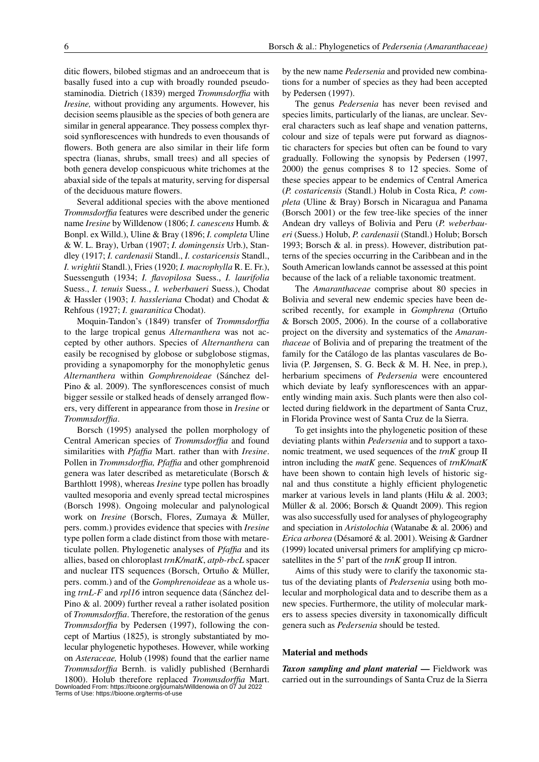ditic flowers, bilobed stigmas and an androeceum that is basally fused into a cup with broadly rounded pseudostaminodia. Dietrich (1839) merged *Trommsdorffia* with *Iresine,* without providing any arguments. However, his decision seems plausible as the species of both genera are similar in general appearance. They possess complex thyrsoid synflorescences with hundreds to even thousands of flowers. Both genera are also similar in their life form spectra (lianas, shrubs, small trees) and all species of both genera develop conspicuous white trichomes at the abaxial side of the tepals at maturity, serving for dispersal of the deciduous mature flowers.

Several additional species with the above mentioned *Trommsdorffia* features were described under the generic name *Iresine* by Willdenow (1806; *I. canescens* Humb. & Bonpl. ex Willd.), Uline & Bray (1896; *I. completa* Uline & W. L. Bray), Urban (1907; *I. domingensis* Urb.), Standley (1917; *I. cardenasii* Standl., *I. costaricensis* Standl., *I. wrightii* Standl.), Fries (1920; *I. macrophylla* R. E. Fr.), Suessenguth (1934; *I. flavopilosa* Suess., *I. laurifolia*  Suess., *I. tenuis* Suess., *I. weberbaueri* Suess.), Chodat & Hassler (1903; *I. hassleriana* Chodat) and Chodat & Rehfous (1927; *I. guaranitica* Chodat).

Moquin-Tandon's (1849) transfer of *Trommsdorffia* to the large tropical genus *Alternanthera* was not accepted by other authors. Species of *Alternanthera* can easily be recognised by globose or subglobose stigmas, providing a synapomorphy for the monophyletic genus *Alternanthera* within *Gomphrenoideae* (Sánchez del-Pino & al. 2009). The synflorescences consist of much bigger sessile or stalked heads of densely arranged flowers, very different in appearance from those in *Iresine* or *Trommsdorffia*.

Borsch (1995) analysed the pollen morphology of Central American species of *Trommsdorffia* and found similarities with *Pfaffia* Mart. rather than with *Iresine*. Pollen in *Trommsdorffia, Pfaffia* and other gomphrenoid genera was later described as metareticulate (Borsch & Barthlott 1998), whereas *Iresine* type pollen has broadly vaulted mesoporia and evenly spread tectal microspines (Borsch 1998). Ongoing molecular and palynological work on *Iresine* (Borsch, Flores, Zumaya & Müller, pers. comm.) provides evidence that species with *Iresine* type pollen form a clade distinct from those with metareticulate pollen. Phylogenetic analyses of *Pfaffia* and its allies, based on chloroplast *trnK/matK*, *atpb-rbcL* spacer and nuclear ITS sequences (Borsch, Ortuño & Müller, pers. comm.) and of the *Gomphrenoideae* as a whole using *trnL-F* and *rpl16* intron sequence data (Sánchez del-Pino & al. 2009) further reveal a rather isolated position of *Trommsdorffia*. Therefore, the restoration of the genus *Trommsdorffia* by Pedersen (1997), following the concept of Martius (1825), is strongly substantiated by molecular phylogenetic hypotheses. However, while working on *Asteraceae,* Holub (1998) found that the earlier name *Trommsdorffia* Bernh. is validly published (Bernhardi

1800). Holub therefore replaced *Trommsdorffia* Mart. Downloaded From: https://bioone.org/journals/Willdenowia on 07 Jul 2022 Terms of Use: https://bioone.org/terms-of-use

by the new name *Pedersenia* and provided new combinations for a number of species as they had been accepted by Pedersen (1997).

The genus *Pedersenia* has never been revised and species limits, particularly of the lianas, are unclear. Several characters such as leaf shape and venation patterns, colour and size of tepals were put forward as diagnostic characters for species but often can be found to vary gradually. Following the synopsis by Pedersen (1997, 2000) the genus comprises 8 to 12 species. Some of these species appear to be endemics of Central America (*P. costaricensis* (Standl.) Holub in Costa Rica, *P. completa* (Uline & Bray) Borsch in Nicaragua and Panama (Borsch 2001) or the few tree-like species of the inner Andean dry valleys of Bolivia and Peru (*P. weberbaueri* (Suess.) Holub, *P. cardenasii* (Standl.) Holub; Borsch 1993; Borsch & al. in press). However, distribution patterns of the species occurring in the Caribbean and in the South American lowlands cannot be assessed at this point because of the lack of a reliable taxonomic treatment.

The *Amaranthaceae* comprise about 80 species in Bolivia and several new endemic species have been described recently, for example in *Gomphrena* (Ortuño & Borsch 2005, 2006). In the course of a collaborative project on the diversity and systematics of the *Amaranthaceae* of Bolivia and of preparing the treatment of the family for the Catálogo de las plantas vasculares de Bolivia (P. Jørgensen, S. G. Beck & M. H. Nee, in prep.), herbarium specimens of *Pedersenia* were encountered which deviate by leafy synflorescences with an apparently winding main axis. Such plants were then also collected during fieldwork in the department of Santa Cruz, in Florida Province west of Santa Cruz de la Sierra.

To get insights into the phylogenetic position of these deviating plants within *Pedersenia* and to support a taxonomic treatment, we used sequences of the *trnK* group II intron including the *matK* gene. Sequences of *trnK/matK* have been shown to contain high levels of historic signal and thus constitute a highly efficient phylogenetic marker at various levels in land plants (Hilu & al. 2003; Müller & al. 2006; Borsch & Quandt 2009). This region was also successfully used for analyses of phylogeography and speciation in *Aristolochia* (Watanabe & al. 2006) and *Erica arborea* (Désamoré & al. 2001). Weising & Gardner (1999) located universal primers for amplifying cp microsatellites in the 5' part of the *trnK* group II intron.

Aims of this study were to clarify the taxonomic status of the deviating plants of *Pedersenia* using both molecular and morphological data and to describe them as a new species. Furthermore, the utility of molecular markers to assess species diversity in taxonomically difficult genera such as *Pedersenia* should be tested.

#### **Material and methods**

*Taxon sampling and plant material* **—** Fieldwork was carried out in the surroundings of Santa Cruz de la Sierra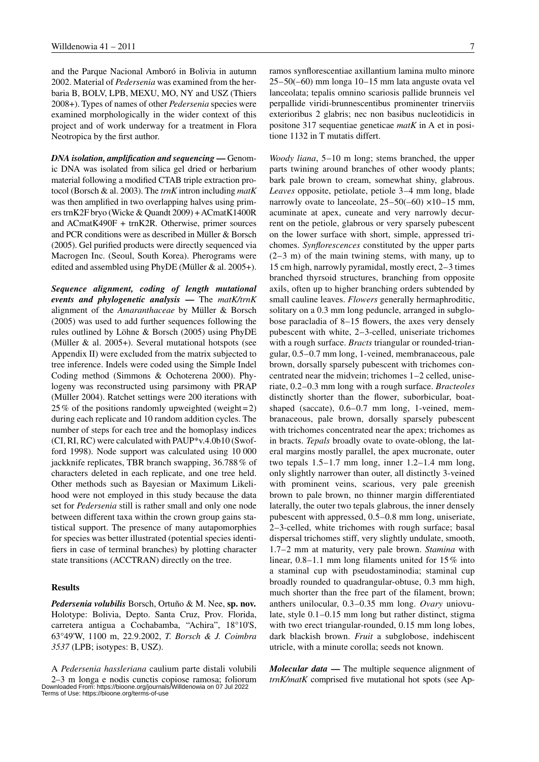and the Parque Nacional Amboró in Bolivia in autumn 2002. Material of *Pedersenia* was examined from the herbaria B, BOLV, LPB, MEXU, MO, NY and USZ (Thiers 2008+). Types of names of other *Pedersenia* species were examined morphologically in the wider context of this project and of work underway for a treatment in Flora Neotropica by the first author.

*DNA isolation, amplification and sequencing* **—** Genomic DNA was isolated from silica gel dried or herbarium material following a modified CTAB triple extraction protocol (Borsch & al. 2003). The *trnK* intron including *matK* was then amplified in two overlapping halves using primers trnK2F bryo (Wicke & Quandt 2009) + ACmatK1400R and ACmatK490F + trnK2R. Otherwise, primer sources and PCR conditions were as described in Müller & Borsch (2005). Gel purified products were directly sequenced via Macrogen Inc. (Seoul, South Korea). Pherograms were edited and assembled using PhyDE (Müller & al. 2005+).

*Sequence alignment, coding of length mutational events and phylogenetic analysis* **—** The *matK/trnK* alignment of the *Amaranthaceae* by Müller & Borsch (2005) was used to add further sequences following the rules outlined by Löhne & Borsch (2005) using PhyDE (Müller & al. 2005+). Several mutational hotspots (see Appendix II) were excluded from the matrix subjected to tree inference. Indels were coded using the Simple Indel Coding method (Simmons & Ochoterena 2000). Phylogeny was reconstructed using parsimony with PRAP (Müller 2004). Ratchet settings were 200 iterations with 25% of the positions randomly upweighted (weight=2) during each replicate and 10 random addition cycles. The number of steps for each tree and the homoplasy indices (CI, RI, RC) were calculated with PAUP\*v.4.0b10 (Swofford 1998). Node support was calculated using 10 000 jackknife replicates, TBR branch swapping, 36.788% of characters deleted in each replicate, and one tree held. Other methods such as Bayesian or Maximum Likelihood were not employed in this study because the data set for *Pedersenia* still is rather small and only one node between different taxa within the crown group gains statistical support. The presence of many autapomorphies for species was better illustrated (potential species identifiers in case of terminal branches) by plotting character state transitions (ACCTRAN) directly on the tree.

#### **Results**

*Pedersenia volubilis* Borsch, Ortuño & M. Nee, **sp. nov.** Holotype: Bolivia, Depto. Santa Cruz, Prov. Florida, carretera antigua a Cochabamba, "Achira", 18°10'S, 63°49'W, 1100 m, 22.9.2002, *T. Borsch & J. Coimbra 3537* (LPB; isotypes: B, USZ).

A *Pedersenia hassleriana* caulium parte distali volubili 2-3 m longa e nodis cunctis copiose ramosa; foliorum *trnK/matK* comprised five mutational hot spots (see Ap-<br>Downloaded From: https://bioone.org/journals/Willdenowia on 07 Jul 2022<br>Terms of Use: https://bioone.org/terms-o

*Woody liana*, 5–10 m long; stems branched, the upper parts twining around branches of other woody plants; bark pale brown to cream, somewhat shiny, glabrous. *Leaves* opposite, petiolate, petiole 3–4 mm long, blade narrowly ovate to lanceolate,  $25-50(-60) \times 10-15$  mm, acuminate at apex, cuneate and very narrowly decurrent on the petiole, glabrous or very sparsely pubescent on the lower surface with short, simple, appressed trichomes. *Synflorescences* constituted by the upper parts (2–3 m) of the main twining stems, with many, up to 15 cm high, narrowly pyramidal, mostly erect, 2–3 times branched thyrsoid structures, branching from opposite axils, often up to higher branching orders subtended by small cauline leaves. *Flowers* generally hermaphroditic, solitary on a 0.3 mm long peduncle, arranged in subglobose paracladia of 8–15 flowers, the axes very densely pubescent with white, 2–3-celled, uniseriate trichomes with a rough surface. *Bracts* triangular or rounded-triangular, 0.5–0.7 mm long, 1-veined, membranaceous, pale brown, dorsally sparsely pubescent with trichomes concentrated near the midvein; trichomes 1–2 celled, uniseriate, 0.2–0.3 mm long with a rough surface. *Bracteoles* distinctly shorter than the flower, suborbicular, boatshaped (saccate), 0.6–0.7 mm long, 1-veined, membranaceous, pale brown, dorsally sparsely pubescent with trichomes concentrated near the apex; trichomes as in bracts. *Tepals* broadly ovate to ovate-oblong, the lateral margins mostly parallel, the apex mucronate, outer two tepals 1.5–1.7 mm long, inner 1.2–1.4 mm long, only slightly narrower than outer, all distinctly 3-veined with prominent veins, scarious, very pale greenish brown to pale brown, no thinner margin differentiated laterally, the outer two tepals glabrous, the inner densely pubescent with appressed, 0.5–0.8 mm long, uniseriate, 2–3-celled, white trichomes with rough surface; basal dispersal trichomes stiff, very slightly undulate, smooth, 1.7–2 mm at maturity, very pale brown. *Stamina* with linear, 0.8–1.1 mm long filaments united for 15% into a staminal cup with pseudostaminodia; staminal cup broadly rounded to quadrangular-obtuse, 0.3 mm high, much shorter than the free part of the filament, brown; anthers unilocular, 0.3–0.35 mm long. *Ovary* uniovulate, style 0.1–0.15 mm long but rather distinct, stigma with two erect triangular-rounded, 0.15 mm long lobes, dark blackish brown. *Fruit* a subglobose, indehiscent utricle, with a minute corolla; seeds not known.

*Molecular data* **—** The multiple sequence alignment of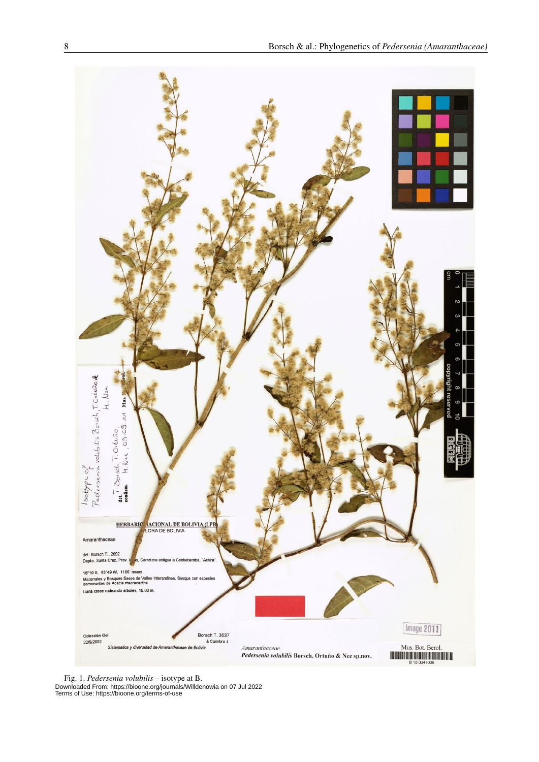

Fig. 1. *Pedersenia volubilis* – isotype at B. Downloaded From: https://bioone.org/journals/Willdenowia on 07 Jul 2022 Terms of Use: https://bioone.org/terms-of-use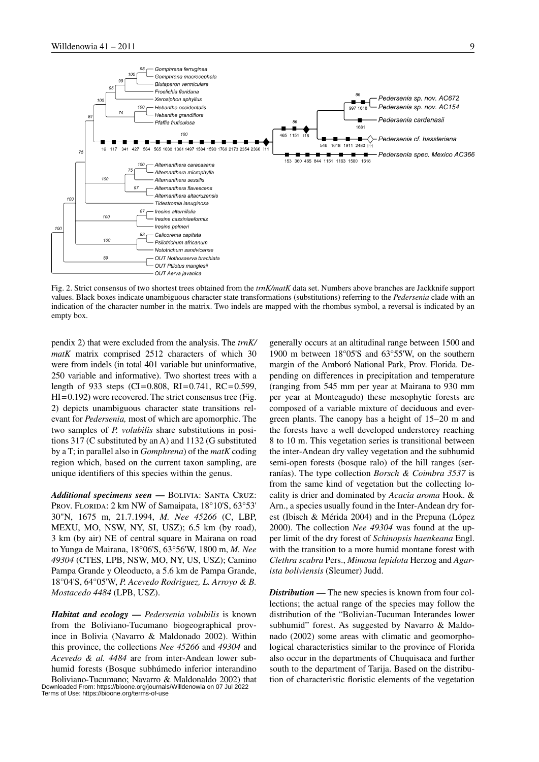

Fig. 2. Strict consensus of two shortest trees obtained from the *trnK/matK* data set. Numbers above branches are Jackknife support values. Black boxes indicate unambiguous character state transformations (substitutions) referring to the *Pedersenia* clade with an indication of the character number in the matrix. Two indels are mapped with the rhombus symbol, a reversal is indicated by an empty box.

pendix 2) that were excluded from the analysis. The *trnK/ matK* matrix comprised 2512 characters of which 30 were from indels (in total 401 variable but uninformative, 250 variable and informative). Two shortest trees with a length of 933 steps (CI=0.808, RI=0.741, RC=0.599,  $HI = 0.192$ ) were recovered. The strict consensus tree (Fig. 2) depicts unambiguous character state transitions relevant for *Pedersenia,* most of which are apomorphic. The two samples of *P. volubilis* share substitutions in positions 317 (C substituted by an A) and 1132 (G substituted by a T; in parallel also in *Gomphrena*) of the *matK* coding region which, based on the current taxon sampling, are unique identifiers of this species within the genus.

*Additional specimens seen* **—** Bolivia: Santa Cruz: PROV. FLORIDA: 2 km NW of Samaipata, 18°10'S, 63°53' 30"N, 1675 m, 21.7.1994, *M. Nee 45266* (C, LBP, MEXU, MO, NSW, NY, SI, USZ); 6.5 km (by road), 3 km (by air) NE of central square in Mairana on road to Yunga de Mairana, 18°06'S, 63°56'W, 1800 m, *M. Nee 49304* (CTES, LPB, NSW, MO, NY, US, USZ); Camino Pampa Grande y Oleoducto, a 5.6 km de Pampa Grande, 18°04'S, 64°05'W, *P. Acevedo Rodriguez, L. Arroyo & B. Mostacedo 4484* (LPB, USZ).

*Habitat and ecology* **—** *Pedersenia volubilis* is known from the Boliviano-Tucumano biogeographical province in Bolivia (Navarro & Maldonado 2002). Within this province, the collections *Nee 45266* and *49304* and *Acevedo & al. 4484* are from inter-Andean lower subhumid forests (Bosque subhúmedo inferior interandino Boliviano-Tucumano; Navarro & Maldonaldo 2002) that Downloaded From: https://bioone.org/journals/Willdenowia on 07 Jul 2022 Terms of Use: https://bioone.org/terms-of-use

generally occurs at an altitudinal range between 1500 and 1900 m between 18°05'S and 63°55'W, on the southern margin of the Amboró National Park, Prov. Florida. Depending on differences in precipitation and temperature (ranging from 545 mm per year at Mairana to 930 mm per year at Monteagudo) these mesophytic forests are composed of a variable mixture of deciduous and evergreen plants. The canopy has a height of 15–20 m and the forests have a well developed understorey reaching 8 to 10 m. This vegetation series is transitional between the inter-Andean dry valley vegetation and the subhumid semi-open forests (bosque ralo) of the hill ranges (serranías). The type collection *Borsch & Coimbra 3537* is from the same kind of vegetation but the collecting locality is drier and dominated by *Acacia aroma* Hook. & Arn., a species usually found in the Inter-Andean dry forest (Ibisch & Mérida 2004) and in the Prepuna (López 2000). The collection *Nee 49304* was found at the upper limit of the dry forest of *Schinopsis haenkeana* Engl. with the transition to a more humid montane forest with *Clethra scabra* Pers., *Mimosa lepidota* Herzog and *Agarista boliviensis* (Sleumer) Judd.

*Distribution* **—** The new species is known from four collections; the actual range of the species may follow the distribution of the "Bolivian-Tucuman Interandes lower subhumid" forest. As suggested by Navarro & Maldonado (2002) some areas with climatic and geomorphological characteristics similar to the province of Florida also occur in the departments of Chuquisaca and further south to the department of Tarija. Based on the distribution of characteristic floristic elements of the vegetation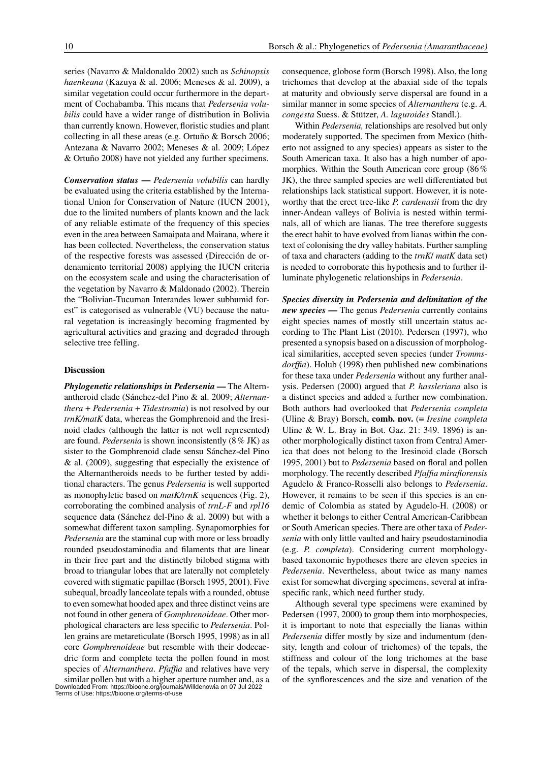series (Navarro & Maldonaldo 2002) such as *Schinopsis haenkeana* (Kazuya & al. 2006; Meneses & al. 2009), a similar vegetation could occur furthermore in the department of Cochabamba. This means that *Pedersenia volubilis* could have a wider range of distribution in Bolivia than currently known. However, floristic studies and plant collecting in all these areas (e.g. Ortuño & Borsch 2006; Antezana & Navarro 2002; Meneses & al. 2009; López & Ortuño 2008) have not yielded any further specimens.

*Conservation status* **—** *Pedersenia volubilis* can hardly be evaluated using the criteria established by the International Union for Conservation of Nature (IUCN 2001), due to the limited numbers of plants known and the lack of any reliable estimate of the frequency of this species even in the area between Samaipata and Mairana, where it has been collected. Nevertheless, the conservation status of the respective forests was assessed (Dirección de ordenamiento territorial 2008) applying the IUCN criteria on the ecosystem scale and using the characterisation of the vegetation by Navarro & Maldonado (2002). Therein the "Bolivian-Tucuman Interandes lower subhumid forest" is categorised as vulnerable (VU) because the natural vegetation is increasingly becoming fragmented by agricultural activities and grazing and degraded through selective tree felling.

#### **Discussion**

*Phylogenetic relationships in Pedersenia* **—** The Alternantheroid clade (Sánchez-del Pino & al. 2009; *Alternanthera* + *Pedersenia* + *Tidestromia*) is not resolved by our *trnK/matK* data, whereas the Gomphrenoid and the Iresinoid clades (although the latter is not well represented) are found. *Pedersenia* is shown inconsistently (8% JK) as sister to the Gomphrenoid clade sensu Sánchez-del Pino & al. (2009), suggesting that especially the existence of the Alternantheroids needs to be further tested by additional characters. The genus *Pedersenia* is well supported as monophyletic based on *matK/trnK* sequences (Fig. 2), corroborating the combined analysis of *trnL-F* and *rpl16* sequence data (Sánchez del-Pino & al. 2009) but with a somewhat different taxon sampling. Synapomorphies for *Pedersenia* are the staminal cup with more or less broadly rounded pseudostaminodia and filaments that are linear in their free part and the distinctly bilobed stigma with broad to triangular lobes that are laterally not completely covered with stigmatic papillae (Borsch 1995, 2001). Five subequal, broadly lanceolate tepals with a rounded, obtuse to even somewhat hooded apex and three distinct veins are not found in other genera of *Gomphrenoideae*. Other morphological characters are less specific to *Pedersenia*. Pollen grains are metareticulate (Borsch 1995, 1998) as in all core *Gomphrenoideae* but resemble with their dodecaedric form and complete tecta the pollen found in most species of *Alternanthera*. *Pfaffia* and relatives have very

similar pollen but with a higher aperture number and, as a Downloaded From: https://bioone.org/journals/Willdenowia on 07 Jul 2022 Terms of Use: https://bioone.org/terms-of-use

consequence, globose form (Borsch 1998). Also, the long trichomes that develop at the abaxial side of the tepals at maturity and obviously serve dispersal are found in a similar manner in some species of *Alternanthera* (e.g. *A. congesta* Suess. & Stützer, *A. laguroides* Standl.).

Within *Pedersenia,* relationships are resolved but only moderately supported. The specimen from Mexico (hitherto not assigned to any species) appears as sister to the South American taxa. It also has a high number of apomorphies. Within the South American core group (86% JK), the three sampled species are well differentiated but relationships lack statistical support. However, it is noteworthy that the erect tree-like *P. cardenasii* from the dry inner-Andean valleys of Bolivia is nested within terminals, all of which are lianas. The tree therefore suggests the erect habit to have evolved from lianas within the context of colonising the dry valley habitats. Further sampling of taxa and characters (adding to the *trnK*/ *matK* data set) is needed to corroborate this hypothesis and to further illuminate phylogenetic relationships in *Pedersenia*.

*Species diversity in Pedersenia and delimitation of the new species* **—** The genus *Pedersenia* currently contains eight species names of mostly still uncertain status according to The Plant List (2010). Pedersen (1997), who presented a synopsis based on a discussion of morphological similarities, accepted seven species (under *Trommsdorffia*). Holub (1998) then published new combinations for these taxa under *Pedersenia* without any further analysis. Pedersen (2000) argued that *P. hassleriana* also is a distinct species and added a further new combination. Both authors had overlooked that *Pedersenia completa* (Uline & Bray) Borsch, **comb. nov.** (≡ *Iresine completa* Uline & W. L. Bray in Bot. Gaz. 21: 349. 1896) is another morphologically distinct taxon from Central America that does not belong to the Iresinoid clade (Borsch 1995, 2001) but to *Pedersenia* based on floral and pollen morphology. The recently described *Pfaffia miraflorensis* Agudelo & Franco-Rosselli also belongs to *Pedersenia*. However, it remains to be seen if this species is an endemic of Colombia as stated by Agudelo-H. (2008) or whether it belongs to either Central American-Caribbean or South American species. There are other taxa of *Pedersenia* with only little vaulted and hairy pseudostaminodia (e.g. *P. completa*). Considering current morphologybased taxonomic hypotheses there are eleven species in *Pedersenia*. Nevertheless, about twice as many names exist for somewhat diverging specimens, several at infraspecific rank, which need further study.

Although several type specimens were examined by Pedersen (1997, 2000) to group them into morphospecies, it is important to note that especially the lianas within *Pedersenia* differ mostly by size and indumentum (density, length and colour of trichomes) of the tepals, the stiffness and colour of the long trichomes at the base of the tepals, which serve in dispersal, the complexity of the synflorescences and the size and venation of the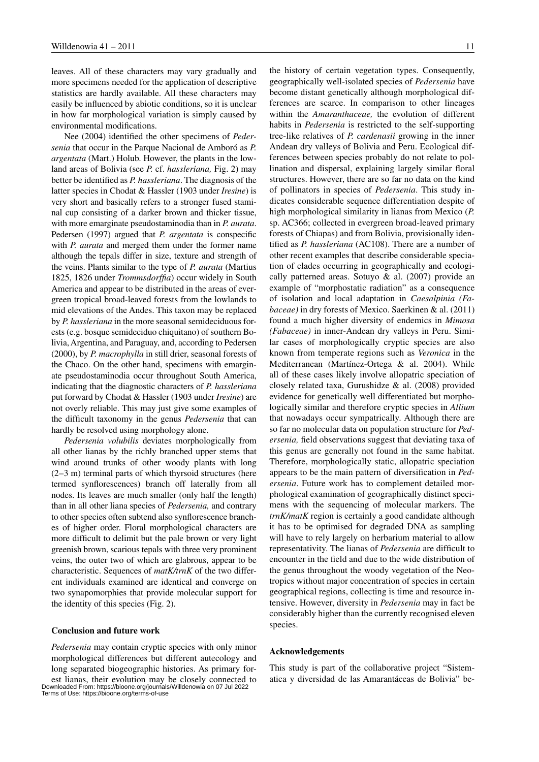leaves. All of these characters may vary gradually and more specimens needed for the application of descriptive statistics are hardly available. All these characters may easily be influenced by abiotic conditions, so it is unclear in how far morphological variation is simply caused by environmental modifications.

Nee (2004) identified the other specimens of *Pedersenia* that occur in the Parque Nacional de Amboró as *P. argentata* (Mart.) Holub. However, the plants in the lowland areas of Bolivia (see *P.* cf. *hassleriana,* Fig. 2) may better be identified as *P. hassleriana*. The diagnosis of the latter species in Chodat & Hassler (1903 under *Iresine*) is very short and basically refers to a stronger fused staminal cup consisting of a darker brown and thicker tissue, with more emarginate pseudostaminodia than in *P. aurata*. Pedersen (1997) argued that *P. argentata* is conspecific with *P. aurata* and merged them under the former name although the tepals differ in size, texture and strength of the veins. Plants similar to the type of *P. aurata* (Martius 1825, 1826 under *Trommsdorffia*) occur widely in South America and appear to be distributed in the areas of evergreen tropical broad-leaved forests from the lowlands to mid elevations of the Andes. This taxon may be replaced by *P. hassleriana* in the more seasonal semideciduous forests (e.g. bosque semideciduo chiquitano) of southern Bolivia, Argentina, and Paraguay, and, according to Pedersen (2000), by *P. macrophylla* in still drier, seasonal forests of the Chaco. On the other hand, specimens with emarginate pseudostaminodia occur throughout South America, indicating that the diagnostic characters of *P. hassleriana* put forward by Chodat & Hassler (1903 under *Iresine*) are not overly reliable. This may just give some examples of the difficult taxonomy in the genus *Pedersenia* that can hardly be resolved using morphology alone.

*Pedersenia volubilis* deviates morphologically from all other lianas by the richly branched upper stems that wind around trunks of other woody plants with long (2–3 m) terminal parts of which thyrsoid structures (here termed synflorescences) branch off laterally from all nodes. Its leaves are much smaller (only half the length) than in all other liana species of *Pedersenia,* and contrary to other species often subtend also synflorescence branches of higher order. Floral morphological characters are more difficult to delimit but the pale brown or very light greenish brown, scarious tepals with three very prominent veins, the outer two of which are glabrous, appear to be characteristic. Sequences of *matK/trnK* of the two different individuals examined are identical and converge on two synapomorphies that provide molecular support for the identity of this species (Fig. 2).

#### **Conclusion and future work**

*Pedersenia* may contain cryptic species with only minor morphological differences but different autecology and long separated biogeographic histories. As primary forest lianas, their evolution may be closely connected to Downloaded From: https://bioone.org/journals/Willdenowia on 07 Jul 2022 Terms of Use: https://bioone.org/terms-of-use

the history of certain vegetation types. Consequently, geographically well-isolated species of *Pedersenia* have become distant genetically although morphological differences are scarce. In comparison to other lineages within the *Amaranthaceae,* the evolution of different habits in *Pedersenia* is restricted to the self-supporting tree-like relatives of *P. cardenasii* growing in the inner Andean dry valleys of Bolivia and Peru. Ecological differences between species probably do not relate to pollination and dispersal, explaining largely similar floral structures. However, there are so far no data on the kind of pollinators in species of *Pedersenia*. This study indicates considerable sequence differentiation despite of high morphological similarity in lianas from Mexico (*P.* sp. AC366; collected in evergreen broad-leaved primary forests of Chiapas) and from Bolivia, provisionally identified as *P. hassleriana* (AC108). There are a number of other recent examples that describe considerable speciation of clades occurring in geographically and ecologically patterned areas. Sotuyo & al. (2007) provide an example of "morphostatic radiation" as a consequence of isolation and local adaptation in *Caesalpinia (Fabaceae)* in dry forests of Mexico. Saerkinen & al. (2011) found a much higher diversity of endemics in *Mimosa (Fabaceae)* in inner-Andean dry valleys in Peru. Similar cases of morphologically cryptic species are also known from temperate regions such as *Veronica* in the Mediterranean (Martínez-Ortega & al. 2004). While all of these cases likely involve allopatric speciation of closely related taxa, Gurushidze & al. (2008) provided evidence for genetically well differentiated but morphologically similar and therefore cryptic species in *Allium* that nowadays occur sympatrically. Although there are so far no molecular data on population structure for *Pedersenia,* field observations suggest that deviating taxa of this genus are generally not found in the same habitat. Therefore, morphologically static, allopatric speciation appears to be the main pattern of diversification in *Pedersenia*. Future work has to complement detailed morphological examination of geographically distinct specimens with the sequencing of molecular markers. The *trnK/matK* region is certainly a good candidate although it has to be optimised for degraded DNA as sampling will have to rely largely on herbarium material to allow representativity. The lianas of *Pedersenia* are difficult to encounter in the field and due to the wide distribution of the genus throughout the woody vegetation of the Neotropics without major concentration of species in certain geographical regions, collecting is time and resource intensive. However, diversity in *Pedersenia* may in fact be considerably higher than the currently recognised eleven species.

#### **Acknowledgements**

This study is part of the collaborative project "Sistematica y diversidad de las Amarantáceas de Bolivia" be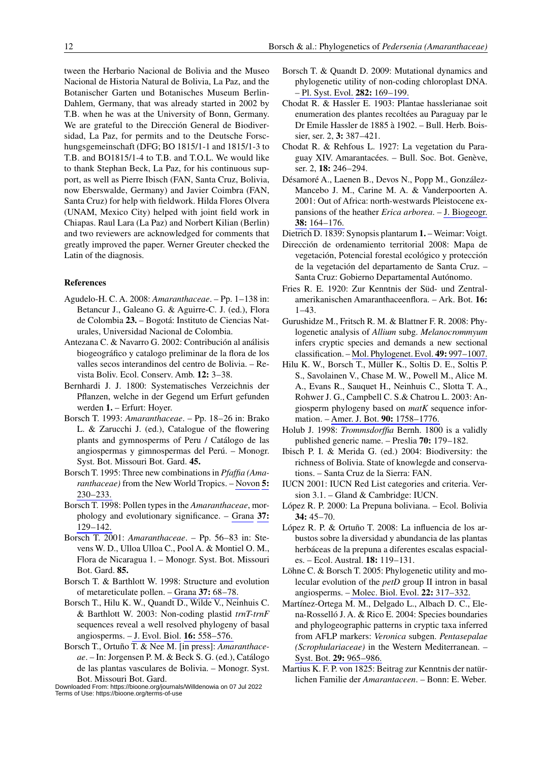tween the Herbario Nacional de Bolivia and the Museo Nacional de Historia Natural de Bolivia, La Paz, and the Botanischer Garten und Botanisches Museum Berlin-Dahlem, Germany, that was already started in 2002 by T.B. when he was at the University of Bonn, Germany. We are grateful to the Dirección General de Biodiversidad, La Paz, for permits and to the Deutsche Forschungsgemeinschaft (DFG; BO 1815/1-1 and 1815/1-3 to T.B. and BO1815/1-4 to T.B. and T.O.L. We would like to thank Stephan Beck, La Paz, for his continuous support, as well as Pierre Ibisch (FAN, Santa Cruz, Bolivia, now Eberswalde, Germany) and Javier Coimbra (FAN, Santa Cruz) for help with fieldwork. Hilda Flores Olvera (UNAM, Mexico City) helped with joint field work in Chiapas. Raul Lara (La Paz) and Norbert Kilian (Berlin) and two reviewers are acknowledged for comments that greatly improved the paper. Werner Greuter checked the Latin of the diagnosis.

### **References**

- Agudelo-H. C. A. 2008: *Amaranthaceae*. Pp. 1–138 in: Betancur J., Galeano G. & Aguirre-C. J. (ed.), Flora de Colombia **23.** – Bogotá: Instituto de Ciencias Naturales, Universidad Nacional de Colombia.
- Antezana C. & Navarro G. 2002: Contribución al análisis biogeográfico y catalogo preliminar de la flora de los valles secos interandinos del centro de Bolivia. – Revista Boliv. Ecol. Conserv. Amb. **12:** 3–38.
- Bernhardi J. J. 1800: Systematisches Verzeichnis der Pflanzen, welche in der Gegend um Erfurt gefunden werden **1.** – Erfurt: Hoyer.
- Borsch T. 1993: *Amaranthaceae*. Pp. 18–26 in: Brako L. & Zarucchi J. (ed.), Catalogue of the flowering plants and gymnosperms of Peru / Catálogo de las angiospermas y gimnospermas del Perú. – Monogr. Syst. Bot. Missouri Bot. Gard. **45.**
- Borsch T. 1995: Three new combinations in *Pfaffia (Amaranthaceae)* from the New World Tropics. – [Novon](http://www.ingentaconnect.com/content/external-references?article=1055-3177()5L.230[aid=8676967]) **[5:](http://www.ingentaconnect.com/content/external-references?article=1055-3177()5L.230[aid=8676967])** [230–233.](http://www.ingentaconnect.com/content/external-references?article=1055-3177()5L.230[aid=8676967])
- Borsch T. 1998: Pollen types in the *Amaranthaceae*, morphology and evolutionary significance. – [Grana](http://www.ingentaconnect.com/content/external-references?article=0017-3134()37L.129[aid=5590162]) **[37:](http://www.ingentaconnect.com/content/external-references?article=0017-3134()37L.129[aid=5590162])**  [129–142.](http://www.ingentaconnect.com/content/external-references?article=0017-3134()37L.129[aid=5590162])
- Borsch T. 2001: *Amaranthaceae*. Pp. 56–83 in: Stevens W. D., Ulloa Ulloa C., Pool A. & Montiel O. M., Flora de Nicaragua 1. – Monogr. Syst. Bot. Missouri Bot. Gard. **85.**
- Borsch T. & Barthlott W. 1998: Structure and evolution of metareticulate pollen. [– Grana](http://www.ingentaconnect.com/content/external-references?article=0017-3134()37L.68[aid=7663188]) **[37:](http://www.ingentaconnect.com/content/external-references?article=0017-3134()37L.68[aid=7663188])** [68–78.](http://www.ingentaconnect.com/content/external-references?article=0017-3134()37L.68[aid=7663188])
- Borsch T., Hilu K. W., Quandt D., Wilde V., Neinhuis C. & Barthlott W. 2003: Non-coding plastid *trnT-trnF* sequences reveal a well resolved phylogeny of basal angiosperms. – [J. Evol. Biol.](http://www.ingentaconnect.com/content/external-references?article=1010-061X()16L.558[aid=6828191]) **[16:](http://www.ingentaconnect.com/content/external-references?article=1010-061X()16L.558[aid=6828191])** [558–576.](http://www.ingentaconnect.com/content/external-references?article=1010-061X()16L.558[aid=6828191])
- Borsch T., Ortuño T. & Nee M. [in press]: *Amaranthaceae*. – In: Jorgensen P. M. & Beck S. G. (ed.), Catálogo de las plantas vasculares de Bolivia. – Monogr. Syst. Bot. Missouri Bot. Gard.

Downloaded From: https://bioone.org/journals/Willdenowia on 07 Jul 2022 Terms of Use: https://bioone.org/terms-of-use

- Borsch T. & Quandt D. 2009: Mutational dynamics and phylogenetic utility of non-coding chloroplast DNA. [– Pl. Syst. Evol.](http://www.ingentaconnect.com/content/external-references?article=0378-2697()282L.169[aid=9222828]) **[282:](http://www.ingentaconnect.com/content/external-references?article=0378-2697()282L.169[aid=9222828])** [169–199.](http://www.ingentaconnect.com/content/external-references?article=0378-2697()282L.169[aid=9222828])
- Chodat R. & Hassler E. 1903: Plantae hasslerianae soit enumeration des plantes recoltées au Paraguay par le Dr Emile Hassler de 1885 à 1902. – Bull. Herb. Boissier, ser. 2, **3:** 387–421.
- Chodat R. & Rehfous L. 1927: La vegetation du Paraguay XIV. Amarantacées. – Bull. Soc. Bot. Genève, ser. 2, **18:** 246–294.
- Désamoré A., Laenen B., Devos N., Popp M., González-Mancebo J. M., Carine M. A. & Vanderpoorten A. 2001: Out of Africa: north-westwards Pleistocene expansions of the heather *Erica arborea*. – [J. Biogeogr.](http://www.ingentaconnect.com/content/external-references?article=0305-0270()38L.164[aid=9582194]) **[38:](http://www.ingentaconnect.com/content/external-references?article=0305-0270()38L.164[aid=9582194])** [164–176.](http://www.ingentaconnect.com/content/external-references?article=0305-0270()38L.164[aid=9582194])
- Dietrich D. 1839: Synopsis plantarum **1.** Weimar: Voigt.
- Dirección de ordenamiento territorial 2008: Mapa de vegetación, Potencial forestal ecológico y protección de la vegetación del departamento de Santa Cruz. – Santa Cruz: Gobierno Departamental Autónomo.
- Fries R. E. 1920: Zur Kenntnis der Süd- und Zentralamerikanischen Amaranthaceenflora. – Ark. Bot. **16:**  1–43.
- Gurushidze M., Fritsch R. M. & Blattner F. R. 2008: Phylogenetic analysis of *Allium* subg. *Melanocrommyum* infers cryptic species and demands a new sectional classification. – [Mol. Phylogenet. Evol.](http://www.ingentaconnect.com/content/external-references?article=1055-7903()49L.997[aid=8821510]) **49:** 997–1007.
- Hilu K. W., Borsch T., Müller K., Soltis D. E., Soltis P. S., Savolainen V., Chase M. W., Powell M., Alice M. A., Evans R., Sauquet H., Neinhuis C., Slotta T. A., Rohwer J. G., Campbell C. S.& Chatrou L. 2003: Angiosperm phylogeny based on *matK* sequence information. – [Amer. J. Bot.](http://www.ingentaconnect.com/content/external-references?article=0002-9122()90L.1758[aid=6149094]) **90:** 1758–1776.
- Holub J. 1998: *Trommsdorffia* Bernh. 1800 is a validly published generic name. – Preslia **70:** 179–182.
- Ibisch P. I. & Merida G. (ed.) 2004: Biodiversity: the richness of Bolivia. State of knowlegde and conservations. – Santa Cruz de la Sierra: FAN.
- IUCN 2001: IUCN Red List categories and criteria. Version 3.1. – Gland & Cambridge: IUCN.
- López R. P. 2000: La Prepuna boliviana. Ecol. Bolivia **34:** 45–70.
- López R. P. & Ortuño T. 2008: La influencia de los arbustos sobre la diversidad y abundancia de las plantas herbáceas de la prepuna a diferentes escalas espaciales. – Ecol. Austral. **18:** 119–131.
- Löhne C. & Borsch T. 2005: Phylogenetic utility and molecular evolution of the *petD* group II intron in basal angiosperms. – [Molec. Biol. Evol.](http://www.ingentaconnect.com/content/external-references?article=0737-4038()22L.317[aid=7659534]) **22:** 317–332.
- Martínez-Ortega M. M., Delgado L., Albach D. C., Elena-Rosselló J. A. & Rico E. 2004: Species boundaries and phylogeographic patterns in cryptic taxa inferred from AFLP markers: *Veronica* subgen. *Pentasepalae (Scrophulariaceae)* in the Western Mediterranean. – [Syst. Bot.](http://www.ingentaconnect.com/content/external-references?article=0363-6445()29L.965[aid=8444604]) **29:** 965–986.
- Martius K. F. P. von 1825: Beitrag zur Kenntnis der natürlichen Familie der *Amarantaceen*. – Bonn: E. Weber.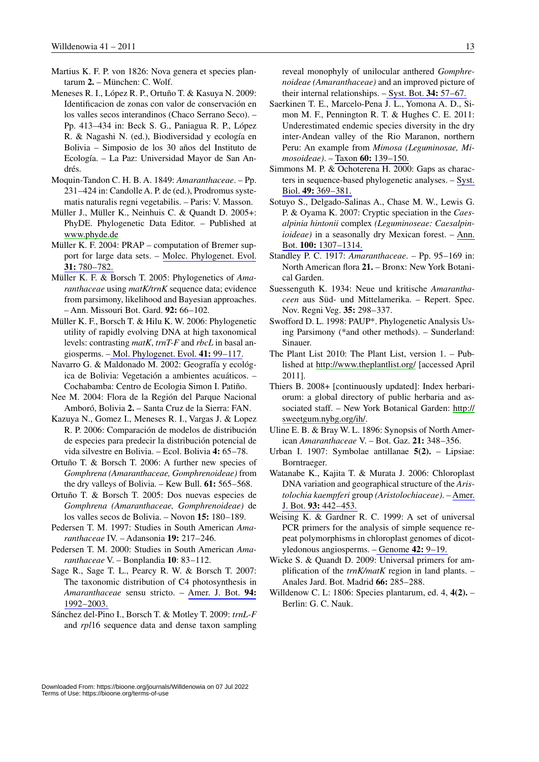- Martius K. F. P. von 1826: Nova genera et species plantarum **2.** – München: C. Wolf.
- Meneses R. I., López R. P., Ortuño T. & Kasuya N. 2009: Identificacion de zonas con valor de conservación en los valles secos interandinos (Chaco Serrano Seco). – Pp. 413–434 in: Beck S. G., Paniagua R. P., López R. & Nagashi N. (ed.), Biodiversidad y ecología en Bolivia – Simposio de los 30 años del Instituto de Ecología. – La Paz: Universidad Mayor de San Andrés.
- Moquin-Tandon C. H. B. A. 1849: *Amaranthaceae*. Pp. 231–424 in: Candolle A. P. de (ed.), Prodromus systematis naturalis regni vegetabilis. – Paris: V. Masson.
- Müller J., Müller K., Neinhuis C. & Quandt D. 2005+: PhyDE. Phylogenetic Data Editor. – Published at [www.phyde.de](http://www.phyde.de)
- Müller K. F. 2004: PRAP computation of Bremer support for large data sets. – [Molec. Phylogenet. Evol.](http://www.ingentaconnect.com/content/external-references?article=1055-7903()31L.780[aid=7759918]) **31:** [780–782.](http://www.ingentaconnect.com/content/external-references?article=1055-7903()31L.780[aid=7759918])
- Müller K. F. & Borsch T. 2005: Phylogenetics of *Amaranthaceae* using *matK/trnK* sequence data; evidence from parsimony, likelihood and Bayesian approaches. – Ann. Missouri Bot. Gard. **92:** 66–102.
- Müller K. F., Borsch T. & Hilu K. W. 2006: Phylogenetic utility of rapidly evolving DNA at high taxonomical levels: contrasting *matK*, *trnT-F* and *rbcL* in basal angiosperms. [– Mol. Phylogenet. Evol.](http://www.ingentaconnect.com/content/external-references?article=1055-7903()41L.99[aid=8676973]) **41:** 99–117.
- Navarro G. & Maldonado M. 2002: Geografía y ecológica de Bolivia: Vegetación a ambientes acuáticos. – Cochabamba: Centro de Ecologia Simon I. Patiño.
- Nee M. 2004: Flora de la Región del Parque Nacional Amboró, Bolivia **2.** – Santa Cruz de la Sierra: FAN.
- Kazuya N., Gomez I., Meneses R. I., Vargas J. & Lopez R. P. 2006: Comparación de modelos de distribución de especies para predecir la distribución potencial de vida silvestre en Bolivia. – Ecol. Bolivia **4:** 65–78.
- Ortuño T. & Borsch T. 2006: A further new species of *Gomphrena (Amaranthaceae, Gomphrenoideae)* from the dry valleys of Bolivia. – Kew Bull. **61:** 565–568.
- Ortuño T. & Borsch T. 2005: Dos nuevas especies de *Gomphrena (Amaranthaceae, Gomphrenoideae)* de los valles secos de Bolivia. – Novon **15:** 180–189.
- Pedersen T. M. 1997: Studies in South American *Amaranthaceae* IV. – Adansonia **19:** 217–246.
- Pedersen T. M. 2000: Studies in South American *Amaranthaceae* V. – Bonplandia **10**: 83–112.
- Sage R., Sage T. L., Pearcy R. W. & Borsch T. 2007: The taxonomic distribution of C4 photosynthesis in *Amaranthaceae* sensu stricto. – [Amer. J. Bot.](http://www.ingentaconnect.com/content/external-references?article=0002-9122()94L.1992[aid=8676970]) **94:**  [1992–2003.](http://www.ingentaconnect.com/content/external-references?article=0002-9122()94L.1992[aid=8676970])
- Sánchez del-Pino I., Borsch T. & Motley T. 2009: *trnL-F* and *rpl*16 sequence data and dense taxon sampling

reveal monophyly of unilocular anthered *Gomphrenoideae (Amaranthaceae)* and an improved picture of their internal relationships. – [Syst. Bot.](http://www.ingentaconnect.com/content/external-references?article=0363-6445()34L.57[aid=9088670]) **34:** 57–67.

- Saerkinen T. E., Marcelo-Pena J. L., Yomona A. D., Simon M. F., Pennington R. T. & Hughes C. E. 2011: Underestimated endemic species diversity in the dry inter-Andean valley of the Rio Maranon, northern Peru: An example from *Mimosa (Leguminosae, Mimosoideae)*. – Taxon **60:** [139–150.](http://www.ingentaconnect.com/content/external-references?article=0040-0262()60L.139[aid=9499633])
- Simmons M. P. & Ochoterena H. 2000: Gaps as characters in sequence-based phylogenetic analyses. – [Syst.](http://www.ingentaconnect.com/content/external-references?article=1063-5157()49L.369[aid=1298082])  Biol. **49:** [369–381.](http://www.ingentaconnect.com/content/external-references?article=1063-5157()49L.369[aid=1298082])
- Sotuyo S., Delgado-Salinas A., Chase M. W., Lewis G. P. & Oyama K. 2007: Cryptic speciation in the *Caesalpinia hintonii* complex *(Leguminoseae: Caesalpinioideae)* in a seasonally dry Mexican forest. – [Ann.](http://www.ingentaconnect.com/content/external-references?article=0305-7364()100L.1307[aid=9455212])  Bot. **100:** [1307–1314.](http://www.ingentaconnect.com/content/external-references?article=0305-7364()100L.1307[aid=9455212])
- Standley P. C. 1917: *Amaranthaceae*. Pp. 95–169 in: North American flora **21.** – Bronx: New York Botanical Garden.
- Suessenguth K. 1934: Neue und kritische *Amaranthaceen* aus Süd- und Mittelamerika. – Repert. Spec. Nov. Regni Veg. **35:** 298–337.
- Swofford D. L. 1998: PAUP\*. Phylogenetic Analysis Using Parsimony (\*and other methods). – Sunderland: Sinauer.
- The Plant List 2010: The Plant List, version 1. Published at <http://www.theplantlist.org/> [accessed April 2011].
- Thiers B. 2008+ [continuously updated]: Index herbariorum: a global directory of public herbaria and associated staff. – New York Botanical Garden: [http://](http://sweetgum.nybg.org/ih/) [sweetgum.nybg.org/ih/.](http://sweetgum.nybg.org/ih/)
- Uline E. B. & Bray W. L. 1896: Synopsis of North American *Amaranthaceae* V. – Bot. Gaz. **21:** 348–356.
- Urban I. 1907: Symbolae antillanae **5(2).**  Lipsiae: Borntraeger.
- Watanabe K., Kajita T. & Murata J. 2006: Chloroplast DNA variation and geographical structure of the *Aristolochia kaempferi* group *(Aristolochiaceae)*. – [Amer.](http://www.ingentaconnect.com/content/external-references?article=0002-9122()93L.442[aid=8993556])  J. Bot. **93:** [442–453.](http://www.ingentaconnect.com/content/external-references?article=0002-9122()93L.442[aid=8993556])
- Weising K. & Gardner R. C. 1999: A set of universal PCR primers for the analysis of simple sequence repeat polymorphisms in chloroplast genomes of dicotyledonous angiosperms. [– Genome](http://www.ingentaconnect.com/content/external-references?article=0831-2796()42L.9[aid=7897709]) **42:** 9–19.
- Wicke S. & Quandt D. 2009: Universal primers for amplification of the *trnK/matK* region in land plants. – Anales Jard. Bot. Madrid **66:** 285–288.
- Willdenow C. L: 1806: Species plantarum, ed. 4, **4(2).**  Berlin: G. C. Nauk.